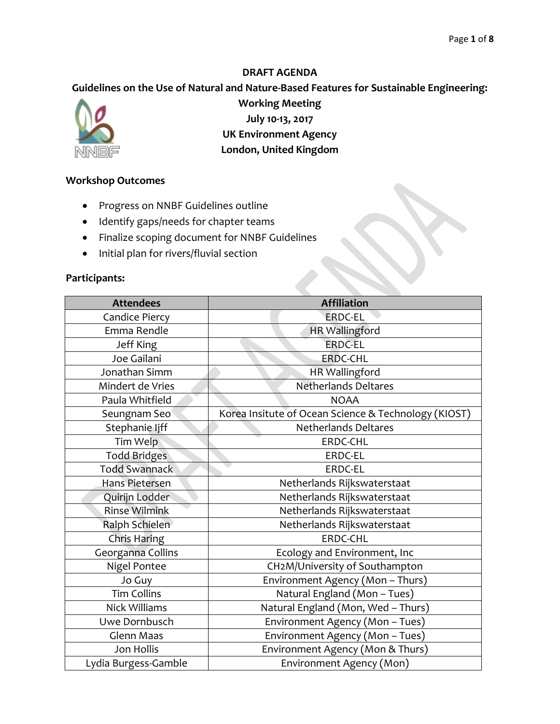### **DRAFT AGENDA**

**Guidelines on the Use of Natural and Nature-Based Features for Sustainable Engineering:**



**Working Meeting July 10-13, 2017 UK Environment Agency London, United Kingdom**

## **Workshop Outcomes**

- Progress on NNBF Guidelines outline
- Identify gaps/needs for chapter teams
- Finalize scoping document for NNBF Guidelines
- Initial plan for rivers/fluvial section

### **Participants:**

| <b>Attendees</b>      | <b>Affiliation</b>                                   |  |
|-----------------------|------------------------------------------------------|--|
| Candice Piercy        | <b>ERDC-EL</b>                                       |  |
| Emma Rendle           | <b>HR</b> Wallingford                                |  |
| Jeff King             | <b>ERDC-EL</b>                                       |  |
| Joe Gailani           | <b>ERDC-CHL</b>                                      |  |
| Jonathan Simm         | <b>HR</b> Wallingford                                |  |
| Mindert de Vries      | Netherlands Deltares                                 |  |
| Paula Whitfield       | <b>NOAA</b>                                          |  |
| Seungnam Seo          | Korea Insitute of Ocean Science & Technology (KIOST) |  |
| Stephanie ljff        | Netherlands Deltares                                 |  |
| Tim Welp              | ERDC-CHL                                             |  |
| <b>Todd Bridges</b>   | ERDC-EL                                              |  |
| <b>Todd Swannack</b>  | ERDC-EL                                              |  |
| <b>Hans Pietersen</b> | Netherlands Rijkswaterstaat                          |  |
| Quirijn Lodder        | Netherlands Rijkswaterstaat                          |  |
| <b>Rinse Wilmink</b>  | Netherlands Rijkswaterstaat                          |  |
| Ralph Schielen        | Netherlands Rijkswaterstaat                          |  |
| Chris Haring          | ERDC-CHL                                             |  |
| Georganna Collins     | Ecology and Environment, Inc                         |  |
| <b>Nigel Pontee</b>   | CH2M/University of Southampton                       |  |
| Jo Guy                | Environment Agency (Mon - Thurs)                     |  |
| <b>Tim Collins</b>    | Natural England (Mon - Tues)                         |  |
| <b>Nick Williams</b>  | Natural England (Mon, Wed - Thurs)                   |  |
| Uwe Dornbusch         | Environment Agency (Mon - Tues)                      |  |
| Glenn Maas            | Environment Agency (Mon - Tues)                      |  |
| Jon Hollis            | Environment Agency (Mon & Thurs)                     |  |
| Lydia Burgess-Gamble  | Environment Agency (Mon)                             |  |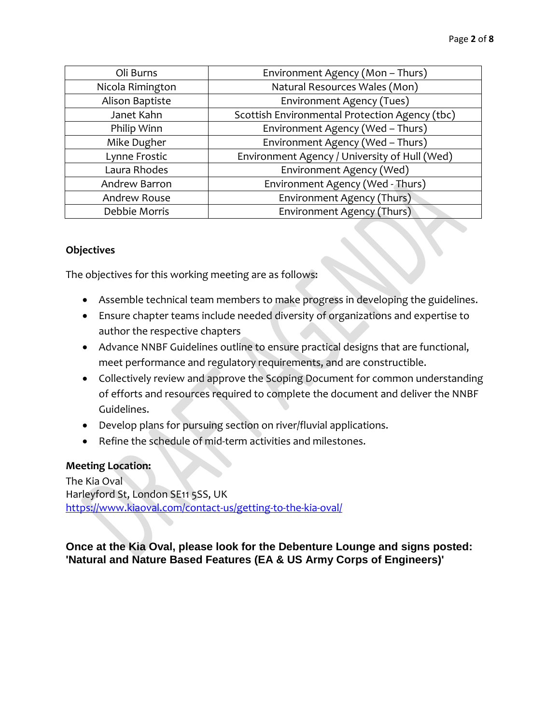| Oli Burns        | Environment Agency (Mon - Thurs)               |  |
|------------------|------------------------------------------------|--|
| Nicola Rimington | Natural Resources Wales (Mon)                  |  |
| Alison Baptiste  | <b>Environment Agency (Tues)</b>               |  |
| Janet Kahn       | Scottish Environmental Protection Agency (tbc) |  |
| Philip Winn      | Environment Agency (Wed - Thurs)               |  |
| Mike Dugher      | Environment Agency (Wed - Thurs)               |  |
| Lynne Frostic    | Environment Agency / University of Hull (Wed)  |  |
| Laura Rhodes     | Environment Agency (Wed)                       |  |
| Andrew Barron    | Environment Agency (Wed - Thurs)               |  |
| Andrew Rouse     | Environment Agency (Thurs)                     |  |
| Debbie Morris    | Environment Agency (Thurs)                     |  |

### **Objectives**

The objectives for this working meeting are as follows:

- Assemble technical team members to make progress in developing the guidelines.
- Ensure chapter teams include needed diversity of organizations and expertise to author the respective chapters
- Advance NNBF Guidelines outline to ensure practical designs that are functional, meet performance and regulatory requirements, and are constructible.
- Collectively review and approve the Scoping Document for common understanding of efforts and resources required to complete the document and deliver the NNBF Guidelines.
- Develop plans for pursuing section on river/fluvial applications.
- Refine the schedule of mid-term activities and milestones.

### **Meeting Location:**

The Kia Oval Harleyford St, London SE11 5SS, UK <https://www.kiaoval.com/contact-us/getting-to-the-kia-oval/>

**Once at the Kia Oval, please look for the Debenture Lounge and signs posted: 'Natural and Nature Based Features (EA & US Army Corps of Engineers)'**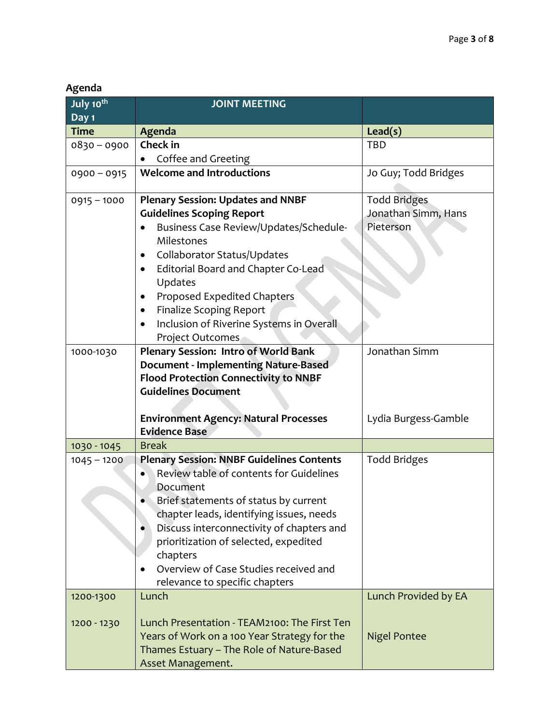# **Agenda**

| July 10 <sup>th</sup> | <b>JOINT MEETING</b>                                                                                                                                                                                                                                                                                                                                                                                       |                                                         |
|-----------------------|------------------------------------------------------------------------------------------------------------------------------------------------------------------------------------------------------------------------------------------------------------------------------------------------------------------------------------------------------------------------------------------------------------|---------------------------------------------------------|
| Day 1                 |                                                                                                                                                                                                                                                                                                                                                                                                            |                                                         |
| <b>Time</b>           | Agenda                                                                                                                                                                                                                                                                                                                                                                                                     | Lead(s)                                                 |
| $0830 - 0900$         | Check in                                                                                                                                                                                                                                                                                                                                                                                                   | <b>TBD</b>                                              |
|                       | Coffee and Greeting                                                                                                                                                                                                                                                                                                                                                                                        |                                                         |
| $0900 - 0915$         | <b>Welcome and Introductions</b>                                                                                                                                                                                                                                                                                                                                                                           | Jo Guy; Todd Bridges                                    |
| $0915 - 1000$         | <b>Plenary Session: Updates and NNBF</b><br><b>Guidelines Scoping Report</b><br>Business Case Review/Updates/Schedule-<br>Milestones<br>Collaborator Status/Updates<br>$\bullet$<br>Editorial Board and Chapter Co-Lead<br>$\bullet$<br>Updates<br>Proposed Expedited Chapters<br><b>Finalize Scoping Report</b><br>$\bullet$<br>Inclusion of Riverine Systems in Overall<br>$\bullet$<br>Project Outcomes | <b>Todd Bridges</b><br>Jonathan Simm, Hans<br>Pieterson |
| 1000-1030             | <b>Plenary Session: Intro of World Bank</b><br><b>Document - Implementing Nature-Based</b><br><b>Flood Protection Connectivity to NNBF</b><br><b>Guidelines Document</b><br><b>Environment Agency: Natural Processes</b><br><b>Evidence Base</b>                                                                                                                                                           | Jonathan Simm<br>Lydia Burgess-Gamble                   |
| 1030 - 1045           | <b>Break</b>                                                                                                                                                                                                                                                                                                                                                                                               |                                                         |
| $1045 - 1200$         | <b>Plenary Session: NNBF Guidelines Contents</b><br>Review table of contents for Guidelines<br>Document<br>Brief statements of status by current<br>chapter leads, identifying issues, needs<br>Discuss interconnectivity of chapters and<br>prioritization of selected, expedited<br>chapters<br>Overview of Case Studies received and<br>relevance to specific chapters                                  | <b>Todd Bridges</b>                                     |
| 1200-1300             | Lunch                                                                                                                                                                                                                                                                                                                                                                                                      | Lunch Provided by EA                                    |
| 1200 - 1230           | Lunch Presentation - TEAM2100: The First Ten<br>Years of Work on a 100 Year Strategy for the<br>Thames Estuary - The Role of Nature-Based<br>Asset Management.                                                                                                                                                                                                                                             | <b>Nigel Pontee</b>                                     |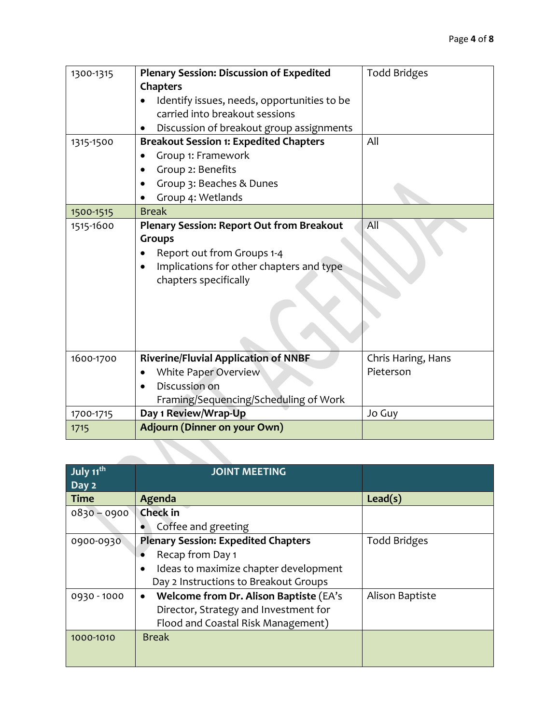| 1300-1315 | <b>Plenary Session: Discussion of Expedited</b><br><b>Chapters</b><br>Identify issues, needs, opportunities to be<br>carried into breakout sessions<br>Discussion of breakout group assignments | <b>Todd Bridges</b>             |
|-----------|-------------------------------------------------------------------------------------------------------------------------------------------------------------------------------------------------|---------------------------------|
| 1315-1500 | <b>Breakout Session 1: Expedited Chapters</b><br>Group 1: Framework<br>Group 2: Benefits<br>Group 3: Beaches & Dunes<br>Group 4: Wetlands                                                       | All                             |
| 1500-1515 | <b>Break</b>                                                                                                                                                                                    |                                 |
| 1515-1600 | <b>Plenary Session: Report Out from Breakout</b><br><b>Groups</b><br>Report out from Groups 1-4<br>Implications for other chapters and type<br>chapters specifically                            | All                             |
| 1600-1700 | <b>Riverine/Fluvial Application of NNBF</b><br>White Paper Overview<br>Discussion on<br>Framing/Sequencing/Scheduling of Work                                                                   | Chris Haring, Hans<br>Pieterson |
| 1700-1715 | Day 1 Review/Wrap-Up                                                                                                                                                                            | Jo Guy                          |
| 1715      | <b>Adjourn (Dinner on your Own)</b>                                                                                                                                                             |                                 |

| July 11 <sup>th</sup><br>Day 2 | <b>JOINT MEETING</b>                                |                     |
|--------------------------------|-----------------------------------------------------|---------------------|
| <b>Time</b>                    | Agenda                                              | Lead(s)             |
| $0830 - 0900$                  | <b>Check</b> in                                     |                     |
|                                | Coffee and greeting                                 |                     |
| 0900-0930                      | <b>Plenary Session: Expedited Chapters</b>          | <b>Todd Bridges</b> |
|                                | Recap from Day 1                                    |                     |
|                                | Ideas to maximize chapter development<br>$\bullet$  |                     |
|                                | Day 2 Instructions to Breakout Groups               |                     |
| 0930 - 1000                    | Welcome from Dr. Alison Baptiste (EA's<br>$\bullet$ | Alison Baptiste     |
|                                | Director, Strategy and Investment for               |                     |
|                                | Flood and Coastal Risk Management)                  |                     |
| 1000-1010                      | <b>Break</b>                                        |                     |
|                                |                                                     |                     |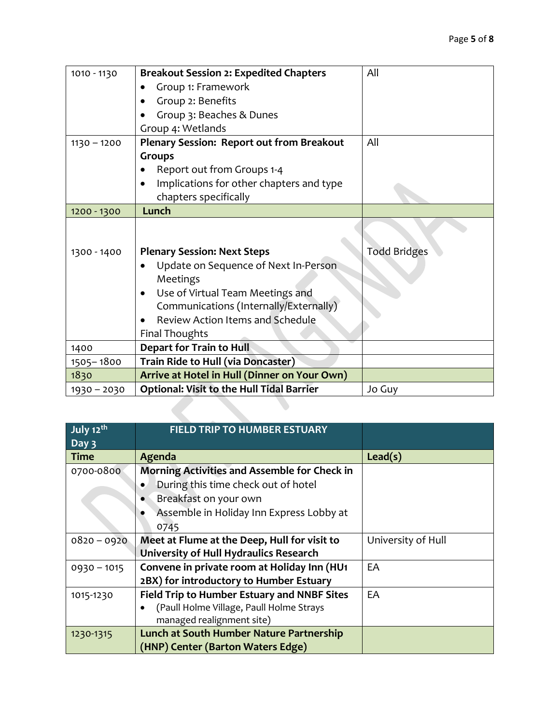| 1010 - 1130   | <b>Breakout Session 2: Expedited Chapters</b>    | All                 |
|---------------|--------------------------------------------------|---------------------|
|               | Group 1: Framework                               |                     |
|               | Group 2: Benefits                                |                     |
|               | Group 3: Beaches & Dunes                         |                     |
|               | Group 4: Wetlands                                |                     |
| $1130 - 1200$ | <b>Plenary Session: Report out from Breakout</b> | All                 |
|               | <b>Groups</b>                                    |                     |
|               | Report out from Groups 1-4                       |                     |
|               | Implications for other chapters and type         |                     |
|               | chapters specifically                            |                     |
| 1200 - 1300   | Lunch                                            |                     |
|               |                                                  |                     |
|               |                                                  |                     |
| 1300 - 1400   | <b>Plenary Session: Next Steps</b>               | <b>Todd Bridges</b> |
|               | Update on Sequence of Next In-Person             |                     |
|               | Meetings                                         |                     |
|               | Use of Virtual Team Meetings and<br>$\bullet$    |                     |
|               | Communications (Internally/Externally)           |                     |
|               | <b>Review Action Items and Schedule</b>          |                     |
|               | <b>Final Thoughts</b>                            |                     |
| 1400          | <b>Depart for Train to Hull</b>                  |                     |
| 1505-1800     | Train Ride to Hull (via Doncaster)               |                     |
| 1830          | Arrive at Hotel in Hull (Dinner on Your Own)     |                     |
| $1930 - 2030$ | <b>Optional: Visit to the Hull Tidal Barrier</b> | Jo Guy              |
|               |                                                  |                     |

| July 12th     | <b>FIELD TRIP TO HUMBER ESTUARY</b>                   |                    |
|---------------|-------------------------------------------------------|--------------------|
| Day 3         |                                                       |                    |
| <b>Time</b>   | Agenda                                                | Lead(s)            |
| 0700-0800     | Morning Activities and Assemble for Check in          |                    |
|               | During this time check out of hotel<br>$\bullet$      |                    |
|               | Breakfast on your own                                 |                    |
|               | Assemble in Holiday Inn Express Lobby at              |                    |
|               | 0745                                                  |                    |
| $0820 - 0920$ | Meet at Flume at the Deep, Hull for visit to          | University of Hull |
|               | University of Hull Hydraulics Research                |                    |
| $0930 - 1015$ | Convene in private room at Holiday Inn (HU1           | EA                 |
|               | 2BX) for introductory to Humber Estuary               |                    |
| 1015-1230     | <b>Field Trip to Humber Estuary and NNBF Sites</b>    | EA                 |
|               | (Paull Holme Village, Paull Holme Strays<br>$\bullet$ |                    |
|               | managed realignment site)                             |                    |
| 1230-1315     | Lunch at South Humber Nature Partnership              |                    |
|               | (HNP) Center (Barton Waters Edge)                     |                    |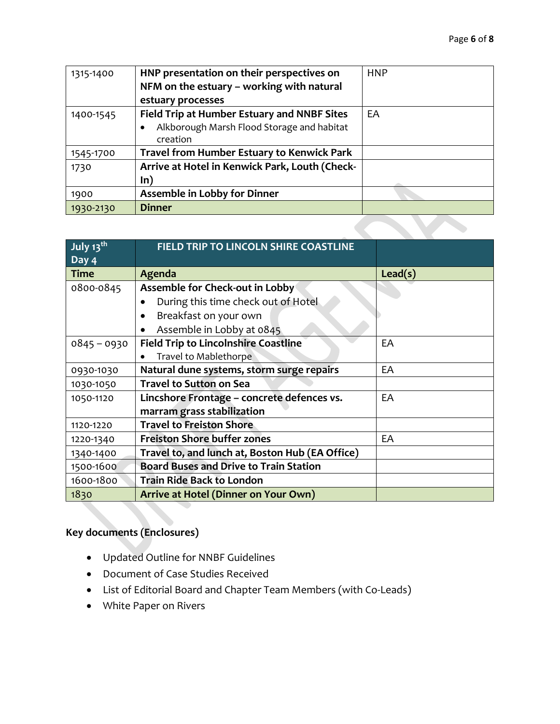| 1315-1400 | HNP presentation on their perspectives on               | <b>HNP</b> |
|-----------|---------------------------------------------------------|------------|
|           | NFM on the estuary - working with natural               |            |
|           | estuary processes                                       |            |
| 1400-1545 | <b>Field Trip at Humber Estuary and NNBF Sites</b>      | EA         |
|           | Alkborough Marsh Flood Storage and habitat<br>$\bullet$ |            |
|           | creation                                                |            |
| 1545-1700 | <b>Travel from Humber Estuary to Kenwick Park</b>       |            |
| 1730      | Arrive at Hotel in Kenwick Park, Louth (Check-          |            |
|           | ln)                                                     |            |
| 1900      | <b>Assemble in Lobby for Dinner</b>                     |            |
| 1930-2130 | <b>Dinner</b>                                           |            |

| July 13 <sup>th</sup><br>Day 4 | FIELD TRIP TO LINCOLN SHIRE COASTLINE           |         |
|--------------------------------|-------------------------------------------------|---------|
| <b>Time</b>                    | Agenda                                          | Lead(s) |
| 0800-0845                      | Assemble for Check-out in Lobby                 |         |
|                                | During this time check out of Hotel             |         |
|                                | Breakfast on your own<br>$\bullet$              |         |
|                                | Assemble in Lobby at 0845                       |         |
| $0845 - 0930$                  | <b>Field Trip to Lincolnshire Coastline</b>     | EA      |
|                                | Travel to Mablethorpe                           |         |
| 0930-1030                      | Natural dune systems, storm surge repairs       | EA      |
| 1030-1050                      | <b>Travel to Sutton on Sea</b>                  |         |
| 1050-1120                      | Lincshore Frontage - concrete defences vs.      | EA      |
|                                | marram grass stabilization                      |         |
| 1120-1220                      | <b>Travel to Freiston Shore</b>                 |         |
| 1220-1340                      | <b>Freiston Shore buffer zones</b>              | EA      |
| 1340-1400                      | Travel to, and lunch at, Boston Hub (EA Office) |         |
| 1500-1600                      | <b>Board Buses and Drive to Train Station</b>   |         |
| 1600-1800                      | <b>Train Ride Back to London</b>                |         |
| 1830                           | Arrive at Hotel (Dinner on Your Own)            |         |

# **Key documents (Enclosures)**

- Updated Outline for NNBF Guidelines
- Document of Case Studies Received
- List of Editorial Board and Chapter Team Members (with Co-Leads)
- White Paper on Rivers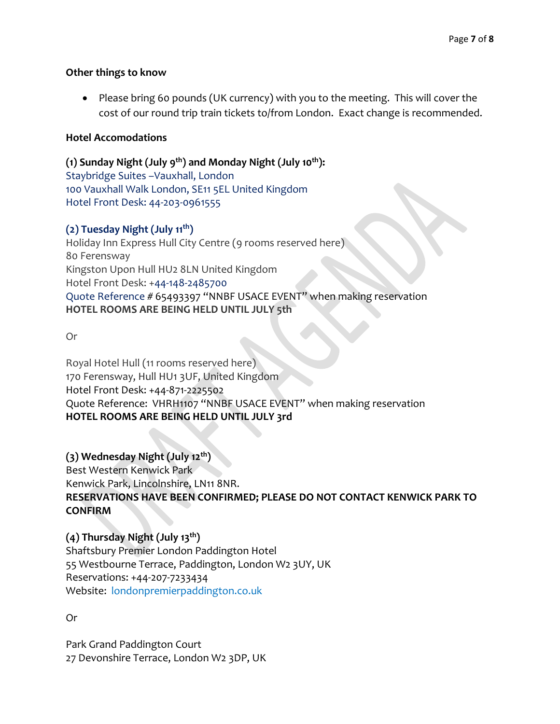## **Other things to know**

• Please bring 60 pounds (UK currency) with you to the meeting. This will cover the cost of our round trip train tickets to/from London. Exact change is recommended.

## **Hotel Accomodations**

**(1) Sunday Night (July 9th) and Monday Night (July 10th):** Staybridge Suites –Vauxhall, London [100 Vauxhall Walk London, SE11 5EL United Kingdom](https://www.ihg.com/staybridge/hotels/gb/en/london/lonva/hoteldetail#map-dir) [Hotel Front Desk:](tel:44-203-0961555) 44-203-0961555

## **(2) Tuesday Night (July 11 th)**

Holiday Inn Express Hull City Centre (9 rooms reserved here) 80 Ferensway Kingston Upon Hull HU2 8LN United Kingdom Hotel Front Desk: [+44-148-2485700](tel:44%201482%20485700) Quote Reference # 65493397 "NNBF USACE EVENT" when making reservation **HOTEL ROOMS ARE BEING HELD UNTIL JULY 5th**

Or

Royal Hotel Hull (11 rooms reserved here) 170 Ferensway, Hull HU1 3UF, United Kingdom Hotel Front Desk: +44-871-2225502 Quote Reference: VHRH1107 "NNBF USACE EVENT" when making reservation **HOTEL ROOMS ARE BEING HELD UNTIL JULY 3rd**

## **(3) Wednesday Night (July 12 th)**

Best Western Kenwick Park Kenwick Park, Lincolnshire, LN11 8NR. **RESERVATIONS HAVE BEEN CONFIRMED; PLEASE DO NOT CONTACT KENWICK PARK TO CONFIRM**

**(4) Thursday Night (July 13th)** Shaftsbury Premier London Paddington Hotel 55 Westbourne Terrace, Paddington, London W2 3UY, UK Reservations: +44-207-7233434 Website: londonpremierpaddington.co.uk

Or

Park Grand Paddington Court 27 Devonshire Terrace, London W2 3DP, UK